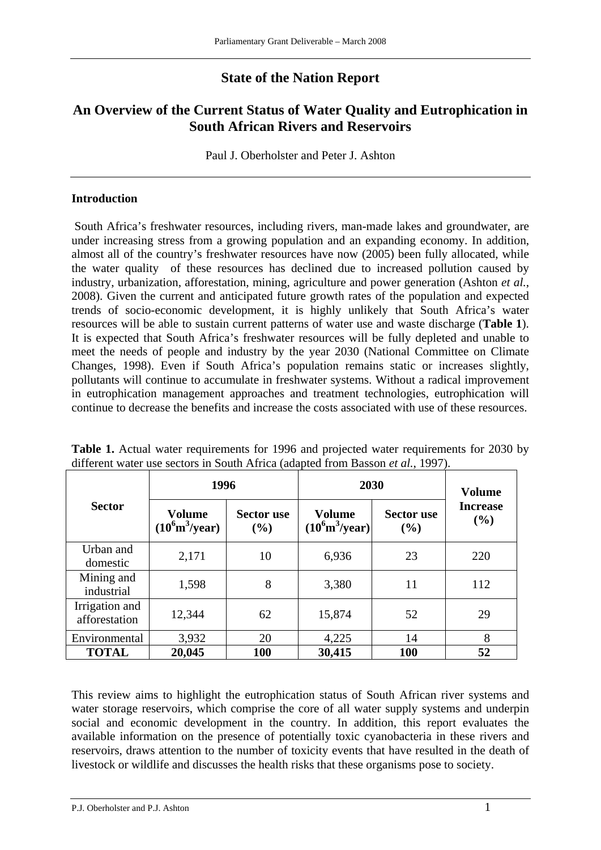# **State of the Nation Report**

## **An Overview of the Current Status of Water Quality and Eutrophication in South African Rivers and Reservoirs**

Paul J. Oberholster and Peter J. Ashton

### **Introduction**

 South Africa's freshwater resources, including rivers, man-made lakes and groundwater, are under increasing stress from a growing population and an expanding economy. In addition, almost all of the country's freshwater resources have now (2005) been fully allocated, while the water quality of these resources has declined due to increased pollution caused by industry, urbanization, afforestation, mining, agriculture and power generation (Ashton *et al.*, 2008). Given the current and anticipated future growth rates of the population and expected trends of socio-economic development, it is highly unlikely that South Africa's water resources will be able to sustain current patterns of water use and waste discharge (**Table 1**). It is expected that South Africa's freshwater resources will be fully depleted and unable to meet the needs of people and industry by the year 2030 (National Committee on Climate Changes, 1998). Even if South Africa's population remains static or increases slightly, pollutants will continue to accumulate in freshwater systems. Without a radical improvement in eutrophication management approaches and treatment technologies, eutrophication will continue to decrease the benefits and increase the costs associated with use of these resources.

| <b>Sector</b>                   | 1996                                      |                          | 2030                                             | <b>Volume</b>               |                        |
|---------------------------------|-------------------------------------------|--------------------------|--------------------------------------------------|-----------------------------|------------------------|
|                                 | Volume<br>$(10^6 \text{m}^3/\text{year})$ | <b>Sector use</b><br>(%) | <b>Volume</b><br>$(10^6 \text{m}^3/\text{year})$ | <b>Sector use</b><br>$($ %) | <b>Increase</b><br>(%) |
| Urban and<br>domestic           | 2,171                                     | 10                       | 6,936                                            | 23                          | 220                    |
| Mining and<br>industrial        | 1,598                                     | 8                        | 3,380                                            | 11                          | 112                    |
| Irrigation and<br>afforestation | 12,344                                    | 62                       | 15,874                                           | 52                          | 29                     |
| Environmental                   | 3,932                                     | 20                       | 4,225                                            | 14                          | 8                      |
| <b>TOTAL</b>                    | 20,045                                    | <b>100</b>               | 30,415                                           | <b>100</b>                  | 52                     |

**Table 1.** Actual water requirements for 1996 and projected water requirements for 2030 by different water use sectors in South Africa (adapted from Basson *et al.*, 1997).

This review aims to highlight the eutrophication status of South African river systems and water storage reservoirs, which comprise the core of all water supply systems and underpin social and economic development in the country. In addition, this report evaluates the available information on the presence of potentially toxic cyanobacteria in these rivers and reservoirs, draws attention to the number of toxicity events that have resulted in the death of livestock or wildlife and discusses the health risks that these organisms pose to society.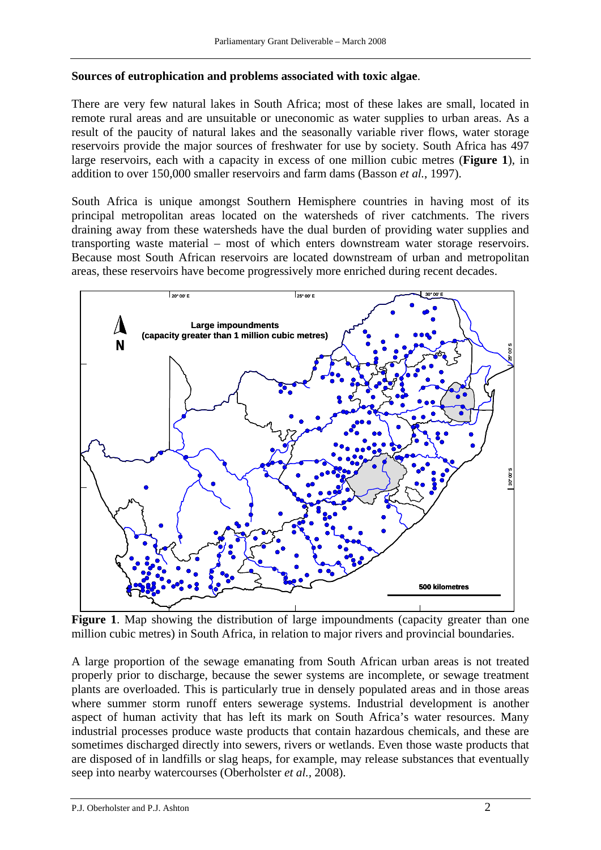#### **Sources of eutrophication and problems associated with toxic algae**.

There are very few natural lakes in South Africa; most of these lakes are small, located in remote rural areas and are unsuitable or uneconomic as water supplies to urban areas. As a result of the paucity of natural lakes and the seasonally variable river flows, water storage reservoirs provide the major sources of freshwater for use by society. South Africa has 497 large reservoirs, each with a capacity in excess of one million cubic metres (**Figure 1**), in addition to over 150,000 smaller reservoirs and farm dams (Basson *et al.*, 1997).

South Africa is unique amongst Southern Hemisphere countries in having most of its principal metropolitan areas located on the watersheds of river catchments. The rivers draining away from these watersheds have the dual burden of providing water supplies and transporting waste material – most of which enters downstream water storage reservoirs. Because most South African reservoirs are located downstream of urban and metropolitan areas, these reservoirs have become progressively more enriched during recent decades.



Figure 1. Map showing the distribution of large impoundments (capacity greater than one million cubic metres) in South Africa, in relation to major rivers and provincial boundaries.

A large proportion of the sewage emanating from South African urban areas is not treated properly prior to discharge, because the sewer systems are incomplete, or sewage treatment plants are overloaded. This is particularly true in densely populated areas and in those areas where summer storm runoff enters sewerage systems. Industrial development is another aspect of human activity that has left its mark on South Africa's water resources. Many industrial processes produce waste products that contain hazardous chemicals, and these are sometimes discharged directly into sewers, rivers or wetlands. Even those waste products that are disposed of in landfills or slag heaps, for example, may release substances that eventually seep into nearby watercourses (Oberholster *et al.,* 2008).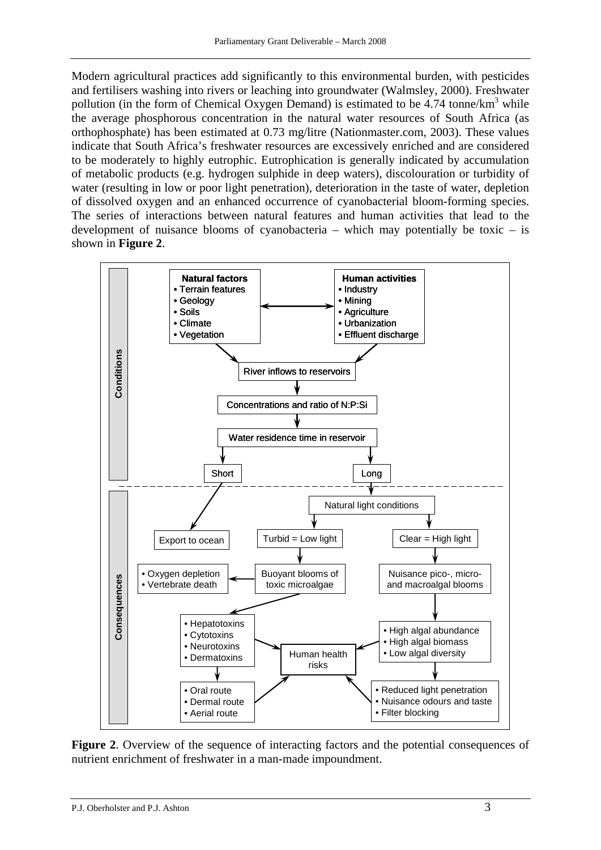Modern agricultural practices add significantly to this environmental burden, with pesticides and fertilisers washing into rivers or leaching into groundwater (Walmsley, 2000). Freshwater pollution (in the form of Chemical Oxygen Demand) is estimated to be  $4.74$  tonne/km<sup>3</sup> while the average phosphorous concentration in the natural water resources of South Africa (as orthophosphate) has been estimated at 0.73 mg/litre (Nationmaster.com, 2003). These values indicate that South Africa's freshwater resources are excessively enriched and are considered to be moderately to highly eutrophic. Eutrophication is generally indicated by accumulation of metabolic products (e.g. hydrogen sulphide in deep waters), discolouration or turbidity of water (resulting in low or poor light penetration), deterioration in the taste of water, depletion of dissolved oxygen and an enhanced occurrence of cyanobacterial bloom-forming species. The series of interactions between natural features and human activities that lead to the development of nuisance blooms of cyanobacteria – which may potentially be toxic – is shown in **Figure 2**.



Figure 2. Overview of the sequence of interacting factors and the potential consequences of nutrient enrichment of freshwater in a man-made impoundment.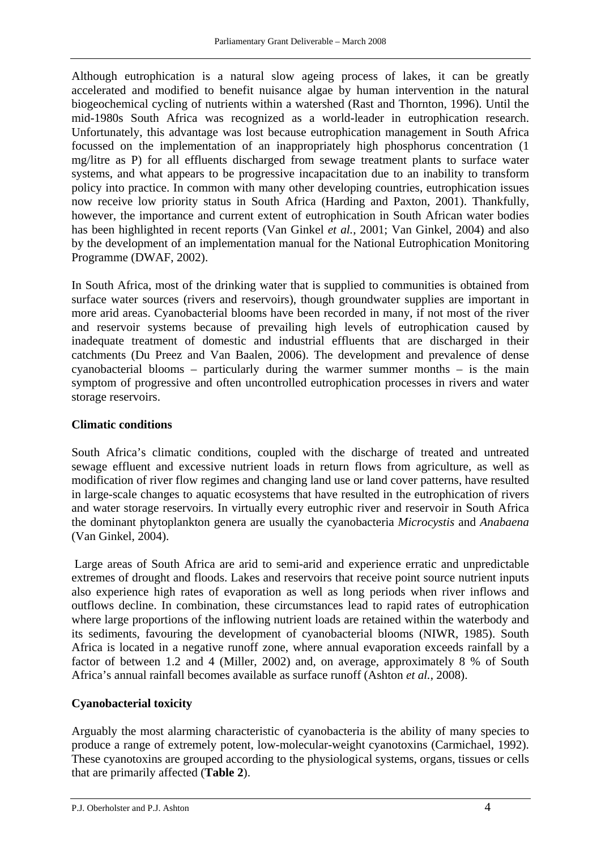Although eutrophication is a natural slow ageing process of lakes, it can be greatly accelerated and modified to benefit nuisance algae by human intervention in the natural biogeochemical cycling of nutrients within a watershed (Rast and Thornton, 1996). Until the mid-1980s South Africa was recognized as a world-leader in eutrophication research. Unfortunately, this advantage was lost because eutrophication management in South Africa focussed on the implementation of an inappropriately high phosphorus concentration (1 mg/litre as P) for all effluents discharged from sewage treatment plants to surface water systems, and what appears to be progressive incapacitation due to an inability to transform policy into practice. In common with many other developing countries, eutrophication issues now receive low priority status in South Africa (Harding and Paxton, 2001). Thankfully, however, the importance and current extent of eutrophication in South African water bodies has been highlighted in recent reports (Van Ginkel *et al.*, 2001; Van Ginkel*,* 2004) and also by the development of an implementation manual for the National Eutrophication Monitoring Programme (DWAF, 2002).

In South Africa, most of the drinking water that is supplied to communities is obtained from surface water sources (rivers and reservoirs), though groundwater supplies are important in more arid areas. Cyanobacterial blooms have been recorded in many, if not most of the river and reservoir systems because of prevailing high levels of eutrophication caused by inadequate treatment of domestic and industrial effluents that are discharged in their catchments (Du Preez and Van Baalen, 2006). The development and prevalence of dense cyanobacterial blooms – particularly during the warmer summer months – is the main symptom of progressive and often uncontrolled eutrophication processes in rivers and water storage reservoirs.

## **Climatic conditions**

South Africa's climatic conditions, coupled with the discharge of treated and untreated sewage effluent and excessive nutrient loads in return flows from agriculture, as well as modification of river flow regimes and changing land use or land cover patterns, have resulted in large-scale changes to aquatic ecosystems that have resulted in the eutrophication of rivers and water storage reservoirs. In virtually every eutrophic river and reservoir in South Africa the dominant phytoplankton genera are usually the cyanobacteria *Microcystis* and *Anabaena* (Van Ginkel, 2004).

 Large areas of South Africa are arid to semi-arid and experience erratic and unpredictable extremes of drought and floods. Lakes and reservoirs that receive point source nutrient inputs also experience high rates of evaporation as well as long periods when river inflows and outflows decline. In combination, these circumstances lead to rapid rates of eutrophication where large proportions of the inflowing nutrient loads are retained within the waterbody and its sediments, favouring the development of cyanobacterial blooms (NIWR, 1985). South Africa is located in a negative runoff zone, where annual evaporation exceeds rainfall by a factor of between 1.2 and 4 (Miller, 2002) and, on average, approximately 8 % of South Africa's annual rainfall becomes available as surface runoff (Ashton *et al.*, 2008).

## **Cyanobacterial toxicity**

Arguably the most alarming characteristic of cyanobacteria is the ability of many species to produce a range of extremely potent, low-molecular-weight cyanotoxins (Carmichael, 1992). These cyanotoxins are grouped according to the physiological systems, organs, tissues or cells that are primarily affected (**Table 2**).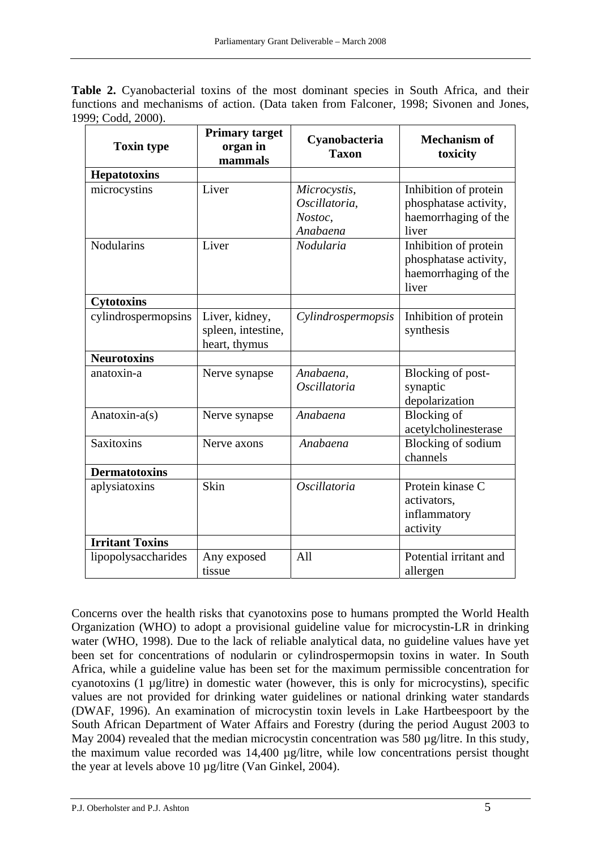| <b>Table 2.</b> Cyanobacterial toxins of the most dominant species in South Africa, and their |  |  |  |  |
|-----------------------------------------------------------------------------------------------|--|--|--|--|
| functions and mechanisms of action. (Data taken from Falconer, 1998; Sivonen and Jones,       |  |  |  |  |
| 1999; Codd, 2000).                                                                            |  |  |  |  |

| <b>Toxin type</b>      | <b>Primary target</b><br>organ in<br>mammals          | Cyanobacteria<br><b>Taxon</b>                        | <b>Mechanism of</b><br>toxicity                                                 |
|------------------------|-------------------------------------------------------|------------------------------------------------------|---------------------------------------------------------------------------------|
| <b>Hepatotoxins</b>    |                                                       |                                                      |                                                                                 |
| microcystins           | Liver                                                 | Microcystis,<br>Oscillatoria,<br>Nostoc,<br>Anabaena | Inhibition of protein<br>phosphatase activity,<br>haemorrhaging of the<br>liver |
| <b>Nodularins</b>      | Liver                                                 | Nodularia                                            | Inhibition of protein<br>phosphatase activity,<br>haemorrhaging of the<br>liver |
| <b>Cytotoxins</b>      |                                                       |                                                      |                                                                                 |
| cylindrospermopsins    | Liver, kidney,<br>spleen, intestine,<br>heart, thymus | Cylindrospermopsis                                   | Inhibition of protein<br>synthesis                                              |
| <b>Neurotoxins</b>     |                                                       |                                                      |                                                                                 |
| anatoxin-a             | Nerve synapse                                         | Anabaena,<br>Oscillatoria                            | Blocking of post-<br>synaptic<br>depolarization                                 |
| Anatoxin-a(s)          | Nerve synapse                                         | Anabaena                                             | <b>Blocking</b> of<br>acetylcholinesterase                                      |
| <b>Saxitoxins</b>      | Nerve axons                                           | Anabaena                                             | Blocking of sodium<br>channels                                                  |
| <b>Dermatotoxins</b>   |                                                       |                                                      |                                                                                 |
| aplysiatoxins          | Skin                                                  | Oscillatoria                                         | Protein kinase C<br>activators,<br>inflammatory<br>activity                     |
| <b>Irritant Toxins</b> |                                                       |                                                      |                                                                                 |
| lipopolysaccharides    | Any exposed<br>tissue                                 | A11                                                  | Potential irritant and<br>allergen                                              |

Concerns over the health risks that cyanotoxins pose to humans prompted the World Health Organization (WHO) to adopt a provisional guideline value for microcystin-LR in drinking water (WHO, 1998). Due to the lack of reliable analytical data, no guideline values have yet been set for concentrations of nodularin or cylindrospermopsin toxins in water. In South Africa, while a guideline value has been set for the maximum permissible concentration for cyanotoxins (1 µg/litre) in domestic water (however, this is only for microcystins), specific values are not provided for drinking water guidelines or national drinking water standards (DWAF, 1996). An examination of microcystin toxin levels in Lake Hartbeespoort by the South African Department of Water Affairs and Forestry (during the period August 2003 to May 2004) revealed that the median microcystin concentration was 580 µg/litre. In this study, the maximum value recorded was 14,400 µg/litre, while low concentrations persist thought the year at levels above 10 µg/litre (Van Ginkel, 2004).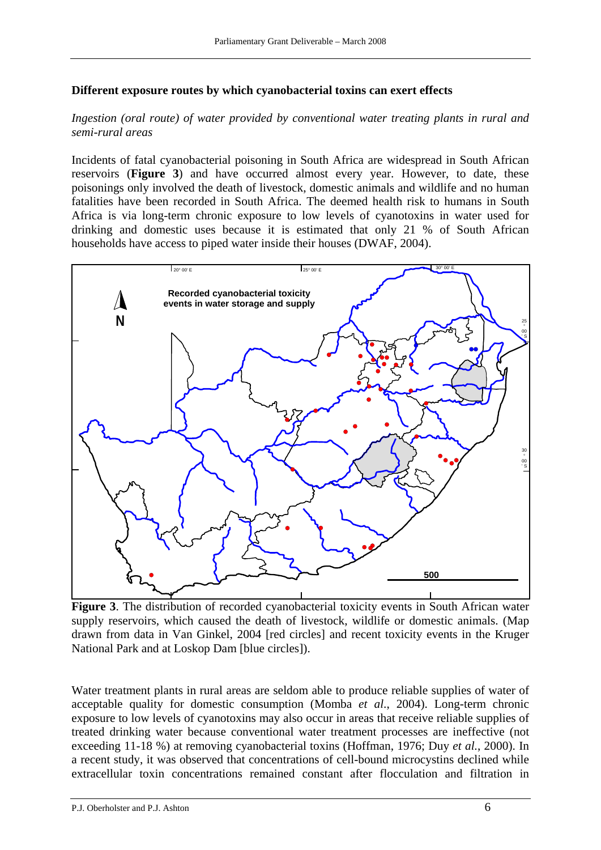#### **Different exposure routes by which cyanobacterial toxins can exert effects**

## *Ingestion (oral route) of water provided by conventional water treating plants in rural and semi-rural areas*

Incidents of fatal cyanobacterial poisoning in South Africa are widespread in South African reservoirs (**Figure 3**) and have occurred almost every year. However, to date, these poisonings only involved the death of livestock, domestic animals and wildlife and no human fatalities have been recorded in South Africa. The deemed health risk to humans in South Africa is via long-term chronic exposure to low levels of cyanotoxins in water used for drinking and domestic uses because it is estimated that only 21 % of South African households have access to piped water inside their houses (DWAF, 2004).



**Figure 3**. The distribution of recorded cyanobacterial toxicity events in South African water supply reservoirs, which caused the death of livestock, wildlife or domestic animals. (Map drawn from data in Van Ginkel, 2004 [red circles] and recent toxicity events in the Kruger National Park and at Loskop Dam [blue circles]).

Water treatment plants in rural areas are seldom able to produce reliable supplies of water of acceptable quality for domestic consumption (Momba *et al*., 2004). Long-term chronic exposure to low levels of cyanotoxins may also occur in areas that receive reliable supplies of treated drinking water because conventional water treatment processes are ineffective (not exceeding 11-18 %) at removing cyanobacterial toxins (Hoffman, 1976; Duy *et al.*, 2000). In a recent study, it was observed that concentrations of cell-bound microcystins declined while extracellular toxin concentrations remained constant after flocculation and filtration in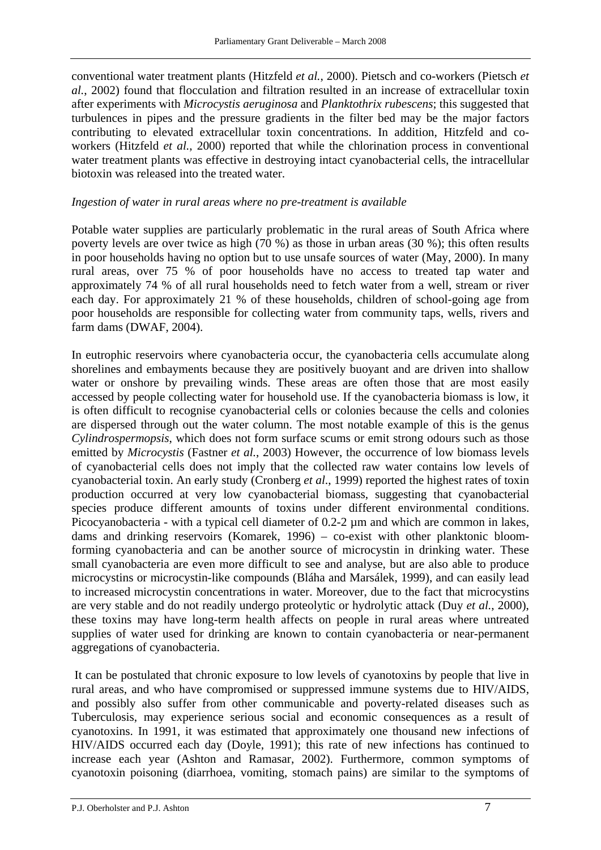conventional water treatment plants (Hitzfeld *et al.*, 2000). Pietsch and co-workers (Pietsch *et al.*, 2002) found that flocculation and filtration resulted in an increase of extracellular toxin after experiments with *Microcystis aeruginosa* and *Planktothrix rubescens*; this suggested that turbulences in pipes and the pressure gradients in the filter bed may be the major factors contributing to elevated extracellular toxin concentrations. In addition, Hitzfeld and coworkers (Hitzfeld *et al.*, 2000) reported that while the chlorination process in conventional water treatment plants was effective in destroying intact cyanobacterial cells, the intracellular biotoxin was released into the treated water.

## *Ingestion of water in rural areas where no pre-treatment is available*

Potable water supplies are particularly problematic in the rural areas of South Africa where poverty levels are over twice as high (70 %) as those in urban areas (30 %); this often results in poor households having no option but to use unsafe sources of water (May, 2000). In many rural areas, over 75 % of poor households have no access to treated tap water and approximately 74 % of all rural households need to fetch water from a well, stream or river each day. For approximately 21 % of these households, children of school-going age from poor households are responsible for collecting water from community taps, wells, rivers and farm dams (DWAF, 2004).

In eutrophic reservoirs where cyanobacteria occur, the cyanobacteria cells accumulate along shorelines and embayments because they are positively buoyant and are driven into shallow water or onshore by prevailing winds. These areas are often those that are most easily accessed by people collecting water for household use. If the cyanobacteria biomass is low, it is often difficult to recognise cyanobacterial cells or colonies because the cells and colonies are dispersed through out the water column. The most notable example of this is the genus *Cylindrospermopsis*, which does not form surface scums or emit strong odours such as those emitted by *Microcystis* (Fastner *et al.*, 2003) However, the occurrence of low biomass levels of cyanobacterial cells does not imply that the collected raw water contains low levels of cyanobacterial toxin. An early study (Cronberg *et al*., 1999) reported the highest rates of toxin production occurred at very low cyanobacterial biomass, suggesting that cyanobacterial species produce different amounts of toxins under different environmental conditions. Picocyanobacteria - with a typical cell diameter of 0.2-2  $\mu$ m and which are common in lakes, dams and drinking reservoirs (Komarek, 1996) – co-exist with other planktonic bloomforming cyanobacteria and can be another source of microcystin in drinking water. These small cyanobacteria are even more difficult to see and analyse, but are also able to produce microcystins or microcystin-like compounds (Bláha and Marsálek, 1999), and can easily lead to increased microcystin concentrations in water. Moreover, due to the fact that microcystins are very stable and do not readily undergo proteolytic or hydrolytic attack (Duy *et al.*, 2000), these toxins may have long-term health affects on people in rural areas where untreated supplies of water used for drinking are known to contain cyanobacteria or near-permanent aggregations of cyanobacteria.

 It can be postulated that chronic exposure to low levels of cyanotoxins by people that live in rural areas, and who have compromised or suppressed immune systems due to HIV/AIDS, and possibly also suffer from other communicable and poverty-related diseases such as Tuberculosis, may experience serious social and economic consequences as a result of cyanotoxins. In 1991, it was estimated that approximately one thousand new infections of HIV/AIDS occurred each day (Doyle, 1991); this rate of new infections has continued to increase each year (Ashton and Ramasar, 2002). Furthermore, common symptoms of cyanotoxin poisoning (diarrhoea, vomiting, stomach pains) are similar to the symptoms of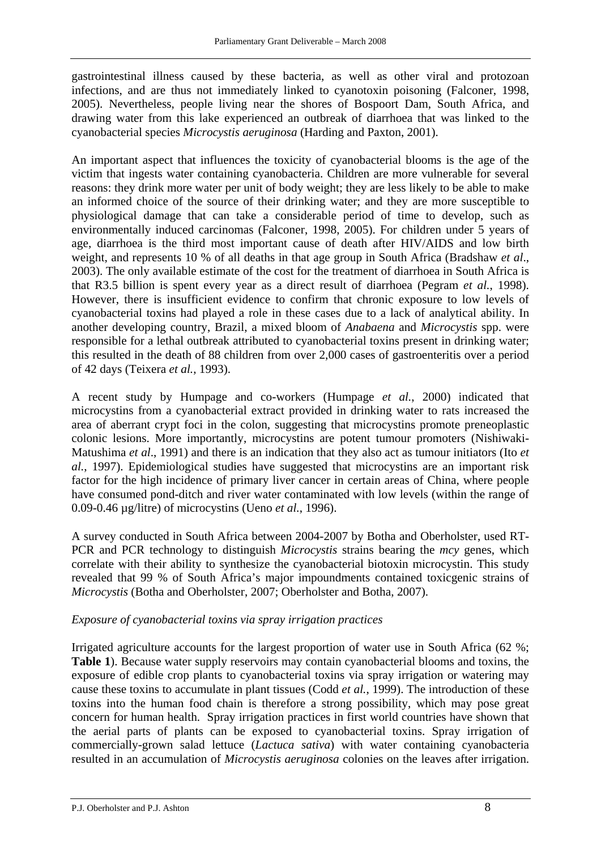gastrointestinal illness caused by these bacteria, as well as other viral and protozoan infections, and are thus not immediately linked to cyanotoxin poisoning (Falconer, 1998, 2005). Nevertheless, people living near the shores of Bospoort Dam, South Africa, and drawing water from this lake experienced an outbreak of diarrhoea that was linked to the cyanobacterial species *Microcystis aeruginosa* (Harding and Paxton, 2001).

An important aspect that influences the toxicity of cyanobacterial blooms is the age of the victim that ingests water containing cyanobacteria. Children are more vulnerable for several reasons: they drink more water per unit of body weight; they are less likely to be able to make an informed choice of the source of their drinking water; and they are more susceptible to physiological damage that can take a considerable period of time to develop, such as environmentally induced carcinomas (Falconer, 1998, 2005). For children under 5 years of age, diarrhoea is the third most important cause of death after HIV/AIDS and low birth weight, and represents 10 % of all deaths in that age group in South Africa (Bradshaw *et al*., 2003). The only available estimate of the cost for the treatment of diarrhoea in South Africa is that R3.5 billion is spent every year as a direct result of diarrhoea (Pegram *et al.*, 1998). However, there is insufficient evidence to confirm that chronic exposure to low levels of cyanobacterial toxins had played a role in these cases due to a lack of analytical ability. In another developing country, Brazil, a mixed bloom of *Anabaena* and *Microcystis* spp. were responsible for a lethal outbreak attributed to cyanobacterial toxins present in drinking water; this resulted in the death of 88 children from over 2,000 cases of gastroenteritis over a period of 42 days (Teixera *et al.*, 1993).

A recent study by Humpage and co-workers (Humpage *et al.*, 2000) indicated that microcystins from a cyanobacterial extract provided in drinking water to rats increased the area of aberrant crypt foci in the colon, suggesting that microcystins promote preneoplastic colonic lesions. More importantly, microcystins are potent tumour promoters (Nishiwaki-Matushima *et al*., 1991) and there is an indication that they also act as tumour initiators (Ito *et al.*, 1997). Epidemiological studies have suggested that microcystins are an important risk factor for the high incidence of primary liver cancer in certain areas of China, where people have consumed pond-ditch and river water contaminated with low levels (within the range of 0.09-0.46 µg/litre) of microcystins (Ueno *et al.*, 1996).

A survey conducted in South Africa between 2004-2007 by Botha and Oberholster, used RT-PCR and PCR technology to distinguish *Microcystis* strains bearing the *mcy* genes, which correlate with their ability to synthesize the cyanobacterial biotoxin microcystin. This study revealed that 99 % of South Africa's major impoundments contained toxicgenic strains of *Microcystis* (Botha and Oberholster, 2007; Oberholster and Botha, 2007).

#### *Exposure of cyanobacterial toxins via spray irrigation practices*

Irrigated agriculture accounts for the largest proportion of water use in South Africa (62 %; **Table 1**). Because water supply reservoirs may contain cyanobacterial blooms and toxins, the exposure of edible crop plants to cyanobacterial toxins via spray irrigation or watering may cause these toxins to accumulate in plant tissues (Codd *et al.*, 1999). The introduction of these toxins into the human food chain is therefore a strong possibility, which may pose great concern for human health. Spray irrigation practices in first world countries have shown that the aerial parts of plants can be exposed to cyanobacterial toxins. Spray irrigation of commercially-grown salad lettuce (*Lactuca sativa*) with water containing cyanobacteria resulted in an accumulation of *Microcystis aeruginosa* colonies on the leaves after irrigation.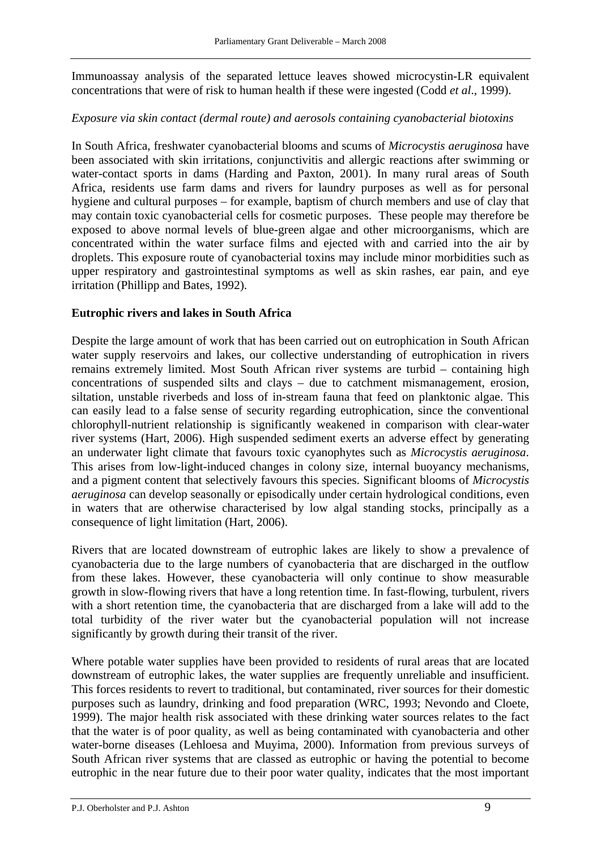Immunoassay analysis of the separated lettuce leaves showed microcystin-LR equivalent concentrations that were of risk to human health if these were ingested (Codd *et al*., 1999).

## *Exposure via skin contact (dermal route) and aerosols containing cyanobacterial biotoxins*

In South Africa, freshwater cyanobacterial blooms and scums of *Microcystis aeruginosa* have been associated with skin irritations, conjunctivitis and allergic reactions after swimming or water-contact sports in dams (Harding and Paxton, 2001). In many rural areas of South Africa, residents use farm dams and rivers for laundry purposes as well as for personal hygiene and cultural purposes – for example, baptism of church members and use of clay that may contain toxic cyanobacterial cells for cosmetic purposes. These people may therefore be exposed to above normal levels of blue-green algae and other microorganisms, which are concentrated within the water surface films and ejected with and carried into the air by droplets. This exposure route of cyanobacterial toxins may include minor morbidities such as upper respiratory and gastrointestinal symptoms as well as skin rashes, ear pain, and eye irritation (Phillipp and Bates, 1992).

## **Eutrophic rivers and lakes in South Africa**

Despite the large amount of work that has been carried out on eutrophication in South African water supply reservoirs and lakes, our collective understanding of eutrophication in rivers remains extremely limited. Most South African river systems are turbid – containing high concentrations of suspended silts and clays – due to catchment mismanagement, erosion, siltation, unstable riverbeds and loss of in-stream fauna that feed on planktonic algae. This can easily lead to a false sense of security regarding eutrophication, since the conventional chlorophyll-nutrient relationship is significantly weakened in comparison with clear-water river systems (Hart, 2006). High suspended sediment exerts an adverse effect by generating an underwater light climate that favours toxic cyanophytes such as *Microcystis aeruginosa*. This arises from low-light-induced changes in colony size, internal buoyancy mechanisms, and a pigment content that selectively favours this species. Significant blooms of *Microcystis aeruginosa* can develop seasonally or episodically under certain hydrological conditions, even in waters that are otherwise characterised by low algal standing stocks, principally as a consequence of light limitation (Hart, 2006).

Rivers that are located downstream of eutrophic lakes are likely to show a prevalence of cyanobacteria due to the large numbers of cyanobacteria that are discharged in the outflow from these lakes. However, these cyanobacteria will only continue to show measurable growth in slow-flowing rivers that have a long retention time. In fast-flowing, turbulent, rivers with a short retention time, the cyanobacteria that are discharged from a lake will add to the total turbidity of the river water but the cyanobacterial population will not increase significantly by growth during their transit of the river.

Where potable water supplies have been provided to residents of rural areas that are located downstream of eutrophic lakes, the water supplies are frequently unreliable and insufficient. This forces residents to revert to traditional, but contaminated, river sources for their domestic purposes such as laundry, drinking and food preparation (WRC, 1993; Nevondo and Cloete, 1999). The major health risk associated with these drinking water sources relates to the fact that the water is of poor quality, as well as being contaminated with cyanobacteria and other water-borne diseases (Lehloesa and Muyima, 2000). Information from previous surveys of South African river systems that are classed as eutrophic or having the potential to become eutrophic in the near future due to their poor water quality, indicates that the most important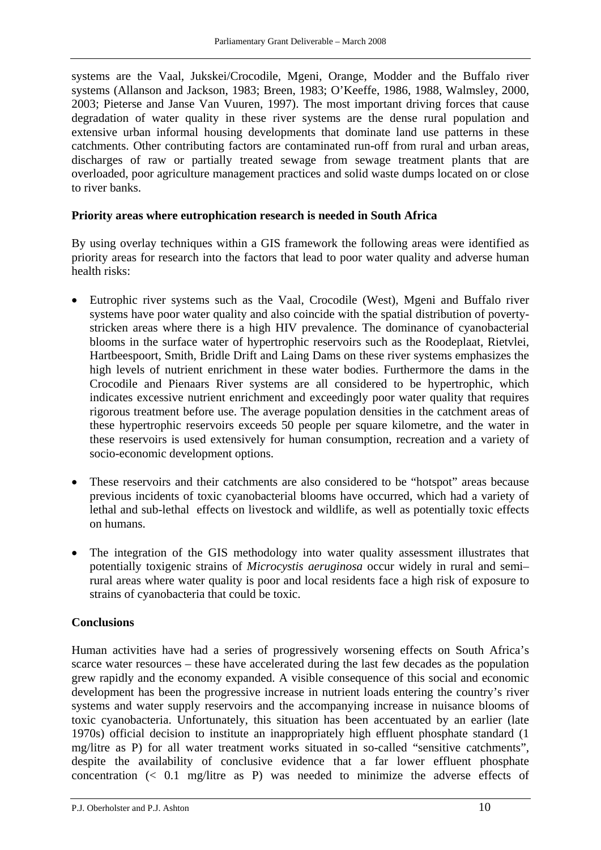systems are the Vaal, Jukskei/Crocodile, Mgeni, Orange, Modder and the Buffalo river systems (Allanson and Jackson, 1983; Breen, 1983; O'Keeffe, 1986, 1988, Walmsley, 2000, 2003; Pieterse and Janse Van Vuuren, 1997). The most important driving forces that cause degradation of water quality in these river systems are the dense rural population and extensive urban informal housing developments that dominate land use patterns in these catchments. Other contributing factors are contaminated run-off from rural and urban areas, discharges of raw or partially treated sewage from sewage treatment plants that are overloaded, poor agriculture management practices and solid waste dumps located on or close to river banks.

## **Priority areas where eutrophication research is needed in South Africa**

By using overlay techniques within a GIS framework the following areas were identified as priority areas for research into the factors that lead to poor water quality and adverse human health risks:

- Eutrophic river systems such as the Vaal, Crocodile (West), Mgeni and Buffalo river systems have poor water quality and also coincide with the spatial distribution of povertystricken areas where there is a high HIV prevalence. The dominance of cyanobacterial blooms in the surface water of hypertrophic reservoirs such as the Roodeplaat, Rietvlei, Hartbeespoort, Smith, Bridle Drift and Laing Dams on these river systems emphasizes the high levels of nutrient enrichment in these water bodies. Furthermore the dams in the Crocodile and Pienaars River systems are all considered to be hypertrophic, which indicates excessive nutrient enrichment and exceedingly poor water quality that requires rigorous treatment before use. The average population densities in the catchment areas of these hypertrophic reservoirs exceeds 50 people per square kilometre, and the water in these reservoirs is used extensively for human consumption, recreation and a variety of socio-economic development options.
- These reservoirs and their catchments are also considered to be "hotspot" areas because previous incidents of toxic cyanobacterial blooms have occurred, which had a variety of lethal and sub-lethal effects on livestock and wildlife, as well as potentially toxic effects on humans.
- The integration of the GIS methodology into water quality assessment illustrates that potentially toxigenic strains of *Microcystis aeruginosa* occur widely in rural and semi– rural areas where water quality is poor and local residents face a high risk of exposure to strains of cyanobacteria that could be toxic.

## **Conclusions**

Human activities have had a series of progressively worsening effects on South Africa's scarce water resources – these have accelerated during the last few decades as the population grew rapidly and the economy expanded. A visible consequence of this social and economic development has been the progressive increase in nutrient loads entering the country's river systems and water supply reservoirs and the accompanying increase in nuisance blooms of toxic cyanobacteria. Unfortunately, this situation has been accentuated by an earlier (late 1970s) official decision to institute an inappropriately high effluent phosphate standard (1 mg/litre as P) for all water treatment works situated in so-called "sensitive catchments", despite the availability of conclusive evidence that a far lower effluent phosphate concentration (< 0.1 mg/litre as P) was needed to minimize the adverse effects of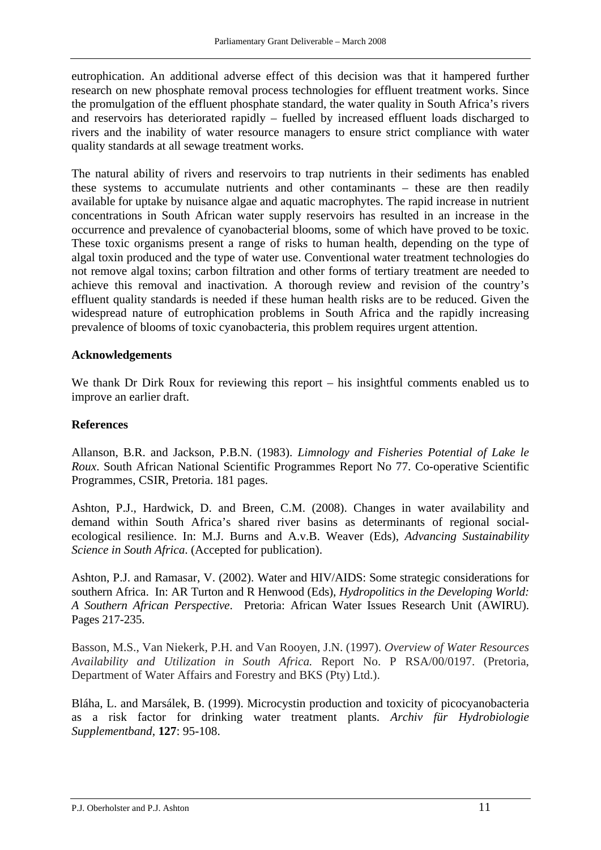eutrophication. An additional adverse effect of this decision was that it hampered further research on new phosphate removal process technologies for effluent treatment works. Since the promulgation of the effluent phosphate standard, the water quality in South Africa's rivers and reservoirs has deteriorated rapidly – fuelled by increased effluent loads discharged to rivers and the inability of water resource managers to ensure strict compliance with water quality standards at all sewage treatment works.

The natural ability of rivers and reservoirs to trap nutrients in their sediments has enabled these systems to accumulate nutrients and other contaminants – these are then readily available for uptake by nuisance algae and aquatic macrophytes. The rapid increase in nutrient concentrations in South African water supply reservoirs has resulted in an increase in the occurrence and prevalence of cyanobacterial blooms, some of which have proved to be toxic. These toxic organisms present a range of risks to human health, depending on the type of algal toxin produced and the type of water use. Conventional water treatment technologies do not remove algal toxins; carbon filtration and other forms of tertiary treatment are needed to achieve this removal and inactivation. A thorough review and revision of the country's effluent quality standards is needed if these human health risks are to be reduced. Given the widespread nature of eutrophication problems in South Africa and the rapidly increasing prevalence of blooms of toxic cyanobacteria, this problem requires urgent attention.

#### **Acknowledgements**

We thank Dr Dirk Roux for reviewing this report – his insightful comments enabled us to improve an earlier draft.

#### **References**

Allanson, B.R. and Jackson, P.B.N. (1983). *Limnology and Fisheries Potential of Lake le Roux*. South African National Scientific Programmes Report No 77. Co-operative Scientific Programmes, CSIR, Pretoria. 181 pages.

Ashton, P.J., Hardwick, D. and Breen, C.M. (2008). Changes in water availability and demand within South Africa's shared river basins as determinants of regional socialecological resilience. In: M.J. Burns and A.v.B. Weaver (Eds), *Advancing Sustainability Science in South Africa*. (Accepted for publication).

Ashton, P.J. and Ramasar, V. (2002). Water and HIV/AIDS: Some strategic considerations for southern Africa. In: AR Turton and R Henwood (Eds), *Hydropolitics in the Developing World: A Southern African Perspective*. Pretoria: African Water Issues Research Unit (AWIRU). Pages 217-235.

Basson, M.S., Van Niekerk, P.H. and Van Rooyen, J.N. (1997). *Overview of Water Resources Availability and Utilization in South Africa.* Report No. P RSA/00/0197. (Pretoria, Department of Water Affairs and Forestry and BKS (Pty) Ltd.).

Bláha, L. and Marsálek, B. (1999). Microcystin production and toxicity of picocyanobacteria as a risk factor for drinking water treatment plants. *Archiv für Hydrobiologie Supplementband*, **127**: 95-108.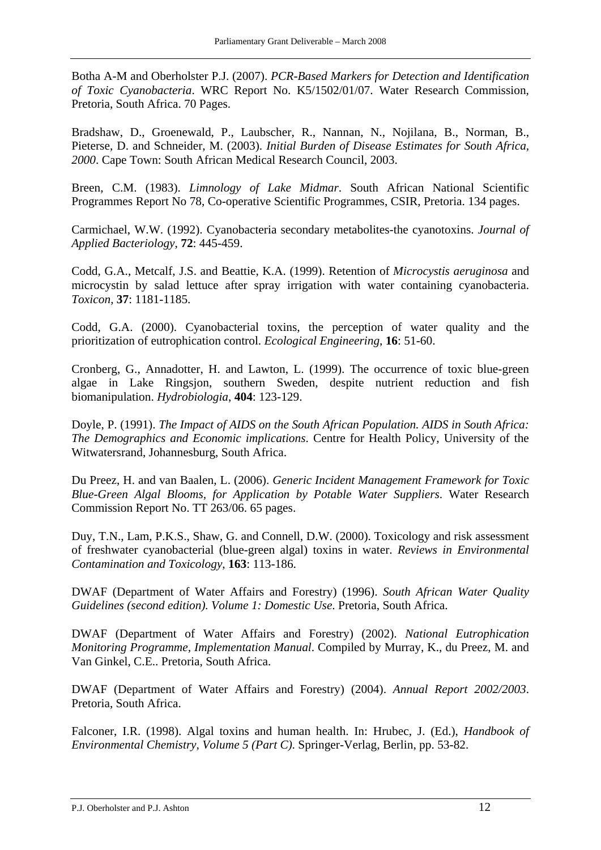Botha A-M and Oberholster P.J. (2007). *PCR-Based Markers for Detection and Identification of Toxic Cyanobacteria*. WRC Report No. K5/1502/01/07. Water Research Commission, Pretoria, South Africa. 70 Pages.

Bradshaw, D., Groenewald, P., Laubscher, R., Nannan, N., Nojilana, B., Norman, B., Pieterse, D. and Schneider, M. (2003). *Initial Burden of Disease Estimates for South Africa, 2000*. Cape Town: South African Medical Research Council, 2003.

Breen, C.M. (1983). *Limnology of Lake Midmar*. South African National Scientific Programmes Report No 78, Co-operative Scientific Programmes, CSIR, Pretoria. 134 pages.

Carmichael, W.W. (1992). Cyanobacteria secondary metabolites-the cyanotoxins. *Journal of Applied Bacteriology*, **72**: 445-459.

Codd, G.A., Metcalf, J.S. and Beattie, K.A. (1999). Retention of *Microcystis aeruginosa* and microcystin by salad lettuce after spray irrigation with water containing cyanobacteria. *Toxicon*, **37**: 1181-1185.

Codd, G.A. (2000). Cyanobacterial toxins, the perception of water quality and the prioritization of eutrophication control. *Ecological Engineering*, **16**: 51-60.

Cronberg, G., Annadotter, H. and Lawton, L. (1999). The occurrence of toxic blue-green algae in Lake Ringsjon, southern Sweden, despite nutrient reduction and fish biomanipulation. *Hydrobiologia*, **404**: 123-129.

Doyle, P. (1991). *The Impact of AIDS on the South African Population. AIDS in South Africa: The Demographics and Economic implications*. Centre for Health Policy, University of the Witwatersrand, Johannesburg, South Africa.

Du Preez, H. and van Baalen, L. (2006). *Generic Incident Management Framework for Toxic Blue-Green Algal Blooms, for Application by Potable Water Suppliers*. Water Research Commission Report No. TT 263/06. 65 pages.

Duy, T.N., Lam, P.K.S., Shaw, G. and Connell, D.W. (2000). Toxicology and risk assessment of freshwater cyanobacterial (blue-green algal) toxins in water. *Reviews in Environmental Contamination and Toxicology*, **163**: 113-186.

DWAF (Department of Water Affairs and Forestry) (1996). *South African Water Quality Guidelines (second edition). Volume 1: Domestic Use*. Pretoria, South Africa.

DWAF (Department of Water Affairs and Forestry) (2002). *National Eutrophication Monitoring Programme, Implementation Manual*. Compiled by Murray, K., du Preez, M. and Van Ginkel, C.E.. Pretoria, South Africa.

DWAF (Department of Water Affairs and Forestry) (2004). *Annual Report 2002/2003*. Pretoria, South Africa.

Falconer, I.R. (1998). Algal toxins and human health. In: Hrubec, J. (Ed.), *Handbook of Environmental Chemistry, Volume 5 (Part C)*. Springer-Verlag, Berlin, pp. 53-82.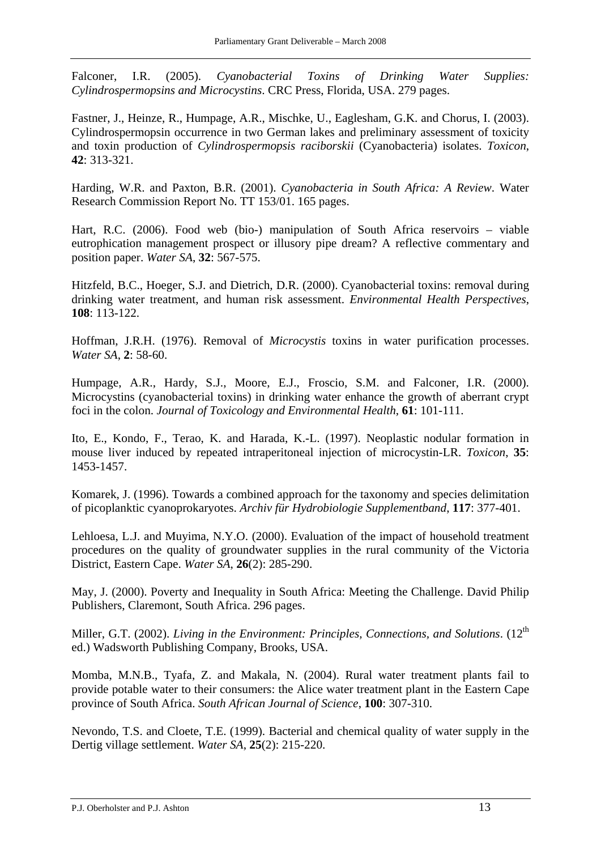Falconer, I.R. (2005). *Cyanobacterial Toxins of Drinking Water Supplies: Cylindrospermopsins and Microcystins*. CRC Press, Florida, USA. 279 pages.

Fastner, J., Heinze, R., Humpage, A.R., Mischke, U., Eaglesham, G.K. and Chorus, I. (2003). Cylindrospermopsin occurrence in two German lakes and preliminary assessment of toxicity and toxin production of *Cylindrospermopsis raciborskii* (Cyanobacteria) isolates. *Toxicon*, **42**: 313-321.

Harding, W.R. and Paxton, B.R. (2001). *Cyanobacteria in South Africa: A Review*. Water Research Commission Report No. TT 153/01. 165 pages.

Hart, R.C. (2006). Food web (bio-) manipulation of South Africa reservoirs – viable eutrophication management prospect or illusory pipe dream? A reflective commentary and position paper. *Water SA*, **32**: 567-575.

Hitzfeld, B.C., Hoeger, S.J. and Dietrich, D.R. (2000). Cyanobacterial toxins: removal during drinking water treatment, and human risk assessment. *Environmental Health Perspectives*, **108**: 113-122.

Hoffman, J.R.H. (1976). Removal of *Microcystis* toxins in water purification processes. *Water SA*, **2**: 58-60.

Humpage, A.R., Hardy, S.J., Moore, E.J., Froscio, S.M. and Falconer, I.R. (2000). Microcystins (cyanobacterial toxins) in drinking water enhance the growth of aberrant crypt foci in the colon. *Journal of Toxicology and Environmental Health*, **61**: 101-111.

Ito, E., Kondo, F., Terao, K. and Harada, K.-L. (1997). Neoplastic nodular formation in mouse liver induced by repeated intraperitoneal injection of microcystin-LR. *Toxicon*, **35**: 1453-1457.

Komarek, J. (1996). Towards a combined approach for the taxonomy and species delimitation of picoplanktic cyanoprokaryotes. *Archiv für Hydrobiologie Supplementband*, **117**: 377-401.

Lehloesa, L.J. and Muyima, N.Y.O. (2000). Evaluation of the impact of household treatment procedures on the quality of groundwater supplies in the rural community of the Victoria District, Eastern Cape. *Water SA*, **26**(2): 285-290.

May, J. (2000). Poverty and Inequality in South Africa: Meeting the Challenge. David Philip Publishers, Claremont, South Africa. 296 pages.

Miller, G.T. (2002). *Living in the Environment: Principles, Connections, and Solutions.* (12<sup>th</sup> ed.) Wadsworth Publishing Company, Brooks, USA.

Momba, M.N.B., Tyafa, Z. and Makala, N. (2004). Rural water treatment plants fail to provide potable water to their consumers: the Alice water treatment plant in the Eastern Cape province of South Africa. *South African Journal of Science*, **100**: 307-310.

Nevondo, T.S. and Cloete, T.E. (1999). Bacterial and chemical quality of water supply in the Dertig village settlement. *Water SA*, **25**(2): 215-220.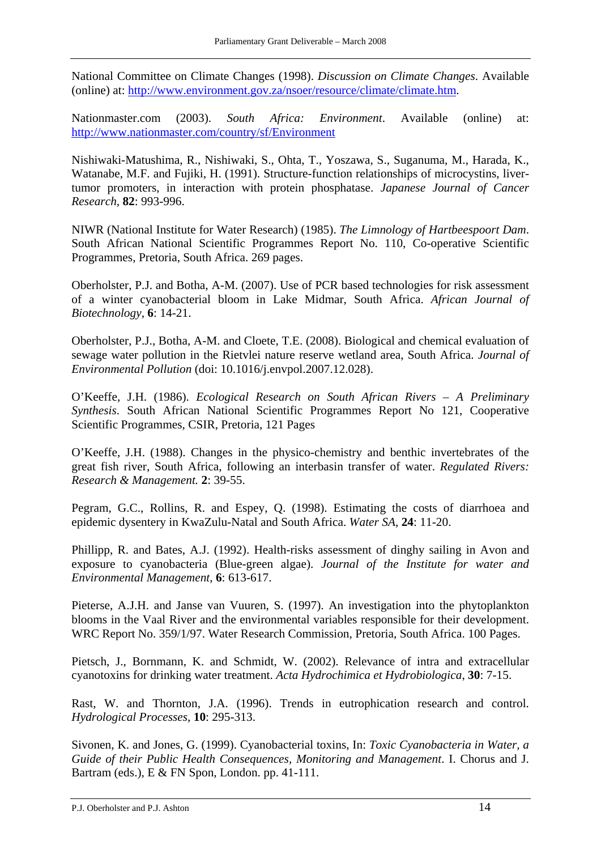National Committee on Climate Changes (1998). *Discussion on Climate Changes*. Available (online) at: <http://www.environment.gov.za/nsoer/resource/climate/climate.htm>.

Nationmaster.com (2003). *South Africa: Environment*. Available (online) at: <http://www.nationmaster.com/country/sf/Environment>

Nishiwaki-Matushima, R., Nishiwaki, S., Ohta, T., Yoszawa, S., Suganuma, M., Harada, K., Watanabe, M.F. and Fujiki, H. (1991). Structure-function relationships of microcystins, livertumor promoters, in interaction with protein phosphatase. *Japanese Journal of Cancer Research*, **82**: 993-996.

NIWR (National Institute for Water Research) (1985). *The Limnology of Hartbeespoort Dam*. South African National Scientific Programmes Report No. 110, Co-operative Scientific Programmes, Pretoria, South Africa. 269 pages.

Oberholster, P.J. and Botha, A-M. (2007). Use of PCR based technologies for risk assessment of a winter cyanobacterial bloom in Lake Midmar, South Africa. *African Journal of Biotechnology*, **6**: 14-21.

Oberholster, P.J., Botha, A-M. and Cloete, T.E. (2008). Biological and chemical evaluation of sewage water pollution in the Rietvlei nature reserve wetland area, South Africa. *Journal of Environmental Pollution* (doi: 10.1016/j.envpol.2007.12.028).

O'Keeffe, J.H. (1986). *Ecological Research on South African Rivers – A Preliminary Synthesis*. South African National Scientific Programmes Report No 121, Cooperative Scientific Programmes, CSIR, Pretoria, 121 Pages

O'Keeffe, J.H. (1988). Changes in the physico-chemistry and benthic invertebrates of the great fish river, South Africa, following an interbasin transfer of water. *Regulated Rivers: Research & Management.* **2**: 39-55.

Pegram, G.C., Rollins, R. and Espey, Q. (1998). Estimating the costs of diarrhoea and epidemic dysentery in KwaZulu-Natal and South Africa. *Water SA*, **24**: 11-20.

Phillipp, R. and Bates, A.J. (1992). Health-risks assessment of dinghy sailing in Avon and exposure to cyanobacteria (Blue-green algae). *Journal of the Institute for water and Environmental Management*, **6**: 613-617.

Pieterse, A.J.H. and Janse van Vuuren, S. (1997). An investigation into the phytoplankton blooms in the Vaal River and the environmental variables responsible for their development. WRC Report No. 359/1/97. Water Research Commission, Pretoria, South Africa. 100 Pages.

Pietsch, J., Bornmann, K. and Schmidt, W. (2002). Relevance of intra and extracellular cyanotoxins for drinking water treatment. *Acta Hydrochimica et Hydrobiologica*, **30**: 7-15.

Rast, W. and Thornton, J.A. (1996). Trends in eutrophication research and control. *Hydrological Processes*, **10**: 295-313.

Sivonen, K. and Jones, G. (1999). Cyanobacterial toxins, In: *Toxic Cyanobacteria in Water, a Guide of their Public Health Consequences, Monitoring and Management*. I. Chorus and J. Bartram (eds.), E & FN Spon, London. pp. 41-111.